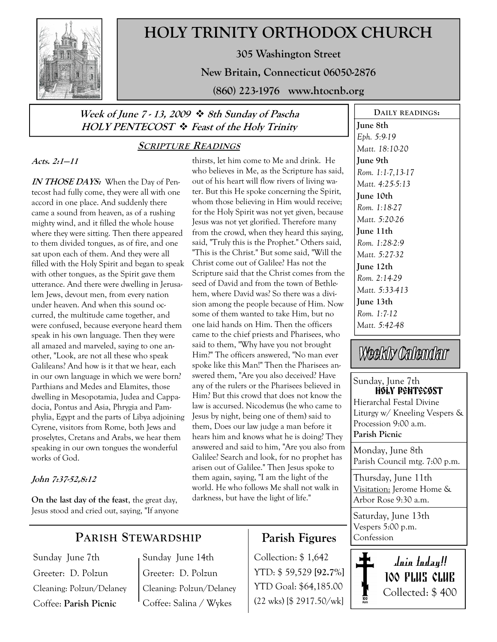

# HOLY TRINITY ORTHODOX CHURCH

305 Washington Street

New Britain, Connecticut 06050-2876

(860) 223-1976 www.htocnb.org

### Week of June 7 - 13, 2009  $\Leftrightarrow$  8th Sunday of Pascha  $HOLY PENTE COST \Leftrightarrow$  Feast of the Holy Trinity

## Acts. 2:1—11

IN THOSE DAYS: When the Day of Pentecost had fully come, they were all with one accord in one place. And suddenly there came a sound from heaven, as of a rushing mighty wind, and it filled the whole house where they were sitting. Then there appeared to them divided tongues, as of fire, and one sat upon each of them. And they were all filled with the Holy Spirit and began to speak with other tongues, as the Spirit gave them utterance. And there were dwelling in Jerusalem Jews, devout men, from every nation under heaven. And when this sound occurred, the multitude came together, and were confused, because everyone heard them speak in his own language. Then they were all amazed and marveled, saying to one another, "Look, are not all these who speak Galileans? And how is it that we hear, each in our own language in which we were born? Parthians and Medes and Elamites, those dwelling in Mesopotamia, Judea and Cappadocia, Pontus and Asia, Phrygia and Pamphylia, Egypt and the parts of Libya adjoining Cyrene, visitors from Rome, both Jews and proselytes, Cretans and Arabs, we hear them speaking in our own tongues the wonderful works of God.

#### John 7:37-52,8:12

Sunday June 7th

Greeter: D. Polzun

Cleaning: Polzun/Delaney Coffee: Parish Picnic

On the last day of the feast, the great day, Jesus stood and cried out, saying, "If anyone

PARISH STEWARDSHIP

Sunday June 14th Greeter: D. Polzun

Cleaning: Polzun/Delaney Coffee: Salina / Wykes

#### SCRIPTURE READINGS

thirsts, let him come to Me and drink. He who believes in Me, as the Scripture has said, out of his heart will flow rivers of living water. But this He spoke concerning the Spirit, whom those believing in Him would receive; for the Holy Spirit was not yet given, because Jesus was not yet glorified. Therefore many from the crowd, when they heard this saying, said, "Truly this is the Prophet." Others said, "This is the Christ." But some said, "Will the Christ come out of Galilee? Has not the Scripture said that the Christ comes from the seed of David and from the town of Bethlehem, where David was? So there was a division among the people because of Him. Now some of them wanted to take Him, but no one laid hands on Him. Then the officers came to the chief priests and Pharisees, who said to them, "Why have you not brought Him?" The officers answered, "No man ever spoke like this Man!" Then the Pharisees answered them, "Are you also deceived? Have any of the rulers or the Pharisees believed in Him? But this crowd that does not know the law is accursed. Nicodemus (he who came to Jesus by night, being one of them) said to them, Does our law judge a man before it hears him and knows what he is doing? They answered and said to him, "Are you also from Galilee? Search and look, for no prophet has arisen out of Galilee." Then Jesus spoke to them again, saying, "I am the light of the world. He who follows Me shall not walk in darkness, but have the light of life."

# Parish Figures

Collection: \$ 1,642 YTD: \$ 59,529 [92.7%] YTD Goal: \$64,185.00 (22 wks) [\$ 2917.50/wk]

DAILY READINGS: June 8th Eph. 5:9-19 Matt. 18:10-20 June 9th Rom. 1:1-7,13-17 Matt. 4:25-5:13 June 10th Rom. 1:18-27 Matt. 5:20-26 June 11th Rom. 1:28-2:9 Matt. 5:27-32 June 12th Rom. 2:14-29 Matt. 5:33-413 June 13th Rom. 1:7-12 Matt. 5:42-48

Weekly Calendar

#### Sunday, June 7th HOLY PENTECOST Hierarchal Festal Divine Liturgy w/ Kneeling Vespers &

Procession 9:00 a.m. Parish Picnic

Monday, June 8th Parish Council mtg. 7:00 p.m.

Thursday, June 11th Visitation: Jerome Home & Arbor Rose 9:30 a.m.

Saturday, June 13th Vespers 5:00 p.m. Confession